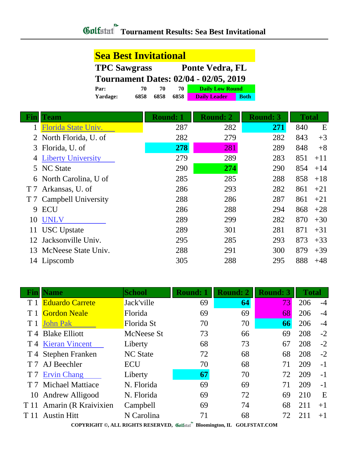**Sea Best Invitational**

|                |                                              | <b>TPC Sawgrass</b>                      |                 |      | <b>Ponte Vedra, FL</b> |                 |              |       |
|----------------|----------------------------------------------|------------------------------------------|-----------------|------|------------------------|-----------------|--------------|-------|
|                | <b>Tournament Dates: 02/04 - 02/05, 2019</b> |                                          |                 |      |                        |                 |              |       |
|                | Par:                                         | <b>Daily Low Round</b><br>70<br>70<br>70 |                 |      |                        |                 |              |       |
|                | Yardage:                                     | 6858                                     | 6858            | 6858 | <b>Daily Leader</b>    | <b>Both</b>     |              |       |
|                |                                              |                                          |                 |      |                        |                 |              |       |
| Fin            | <b>Team</b>                                  |                                          | <b>Round: 1</b> |      | <b>Round: 2</b>        | <b>Round: 3</b> | <b>Total</b> |       |
|                | Florida State Univ.                          |                                          |                 | 287  | 282                    | 271             | 840          | E     |
|                | North Florida, U. of                         |                                          |                 | 282  | 279                    | 282             | 843          | $+3$  |
| 3              | Florida, U. of                               |                                          |                 | 278  | 281                    | 289             | 848          | $+8$  |
|                | <b>Liberty University</b>                    |                                          |                 | 279  | 289                    | 283             | 851          | $+11$ |
| 5              | <b>NC State</b>                              |                                          |                 | 290  | 274                    | 290             | 854          | $+14$ |
| 6              | North Carolina, U of                         |                                          |                 | 285  | 285                    | 288             | 858          | $+18$ |
| T <sub>7</sub> | Arkansas, U. of                              |                                          |                 | 286  | 293                    | 282             | 861          | $+21$ |
| T 7            | Campbell University                          |                                          |                 | 288  | 286                    | 287             | 861          | $+21$ |
| 9              | <b>ECU</b>                                   |                                          |                 | 286  | 288                    | 294             | 868          | $+28$ |
| 10             | <b>UNLV</b>                                  |                                          |                 | 289  | 299                    | 282             | 870          | $+30$ |
| 11             | <b>USC</b> Upstate                           |                                          |                 | 289  | 301                    | 281             | 871          | $+31$ |
| 12             | Jacksonville Univ.                           |                                          |                 | 295  | 285                    | 293             | 873          | $+33$ |
| 13             | McNeese State Univ.                          |                                          |                 | 288  | 291                    | 300             | 879          | $+39$ |
|                | 14 Lipscomb                                  |                                          |                 | 305  | 288                    | 295             | 888          | $+48$ |

|                | <b>Name</b>               | <b>School</b>   | <b>Round: 1</b> | <b>Round: 2</b> | <b>Round: 3</b> | <b>Total</b> |      |
|----------------|---------------------------|-----------------|-----------------|-----------------|-----------------|--------------|------|
|                | <b>Eduardo Carrete</b>    | Jack'ville      | 69              | 64              | 73              | 206          | $-4$ |
|                | <b>Gordon Neale</b>       | Florida         | 69              | 69              | 68              | 206          | $-4$ |
|                | <b>John Pak</b>           | Florida St      | 70              | 70              | 66              | 206          | $-4$ |
|                | T 4 Blake Elliott         | McNeese St      | 73              | 66              | 69              | 208          | $-2$ |
|                | T 4 Kieran Vincent        | Liberty         | 68              | 73              | 67              | 208          | $-2$ |
|                | T 4 Stephen Franken       | <b>NC State</b> | 72              | 68              | 68              | 208          | $-2$ |
|                | T 7 AJ Beechler           | <b>ECU</b>      | 70              | 68              | 71              | 209          | $-1$ |
|                | <b>Ervin Chang</b>        | Liberty         | 67              | 70              | 72              | 209          | $-1$ |
| T <sub>7</sub> | <b>Michael Mattiace</b>   | N. Florida      | 69              | 69              | 71              | 209          | $-1$ |
|                | 10 Andrew Alligood        | N. Florida      | 69              | 72              | 69              | 210          | E    |
|                | T 11 Amarin (R Kraivixien | Campbell        | 69              | 74              | 68              | 211          | $+1$ |
| T 11           | <b>Austin Hitt</b>        | N Carolina      | 71              | 68              | 72              | 211          | $+1$ |

**COPYRIGHT ©, ALL RIGHTS RESERVED, Bloomington, IL GOLFSTAT.COM**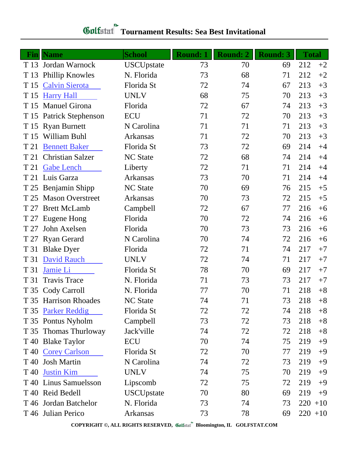|      | <b>Fin</b>   Name         | <b>School</b>     | <b>Round: 1</b> | <b>Round: 2</b> | <b>Round: 3</b> | <b>Total</b> |       |
|------|---------------------------|-------------------|-----------------|-----------------|-----------------|--------------|-------|
| T 13 | Jordan Warnock            | <b>USCUpstate</b> | 73              | 70              | 69              | 212          | $+2$  |
| T 13 | <b>Phillip Knowles</b>    | N. Florida        | 73              | 68              | 71              | 212          | $+2$  |
| T 15 | <b>Calvin Sierota</b>     | Florida St        | 72              | 74              | 67              | 213          | $+3$  |
| T 15 | <b>Harry Hall</b>         | <b>UNLV</b>       | 68              | 75              | 70              | 213          | $+3$  |
| T 15 | <b>Manuel Girona</b>      | Florida           | 72              | 67              | 74              | 213          | $+3$  |
| T 15 | <b>Patrick Stephenson</b> | <b>ECU</b>        | 71              | 72              | 70              | 213          | $+3$  |
| T 15 | <b>Ryan Burnett</b>       | N Carolina        | 71              | 71              | 71              | 213          | $+3$  |
| T 15 | William Buhl              | Arkansas          | 71              | 72              | 70              | 213          | $+3$  |
| T 21 | <b>Bennett Baker</b>      | Florida St        | 73              | 72              | 69              | 214          | $+4$  |
| T 21 | <b>Christian Salzer</b>   | <b>NC State</b>   | 72              | 68              | 74              | 214          | $+4$  |
| T 21 | <b>Gabe Lench</b>         | Liberty           | 72              | 71              | 71              | 214          | $+4$  |
| T 21 | Luis Garza                | <b>Arkansas</b>   | 73              | 70              | 71              | 214          | $+4$  |
| T 25 | Benjamin Shipp            | <b>NC State</b>   | 70              | 69              | 76              | 215          | $+5$  |
| T 25 | <b>Mason Overstreet</b>   | <b>Arkansas</b>   | 70              | 73              | 72              | 215          | $+5$  |
| T 27 | <b>Brett McLamb</b>       | Campbell          | 72              | 67              | 77              | 216          | $+6$  |
| T 27 | Eugene Hong               | Florida           | 70              | 72              | 74              | 216          | $+6$  |
| T 27 | John Axelsen              | Florida           | 70              | 73              | 73              | 216          | $+6$  |
| T 27 | <b>Ryan Gerard</b>        | N Carolina        | 70              | 74              | 72              | 216          | $+6$  |
| T 31 | <b>Blake Dyer</b>         | Florida           | 72              | 71              | 74              | 217          | $+7$  |
| T 31 | <b>David Rauch</b>        | <b>UNLV</b>       | 72              | 74              | 71              | 217          | $+7$  |
| T 31 | Jamie Li                  | Florida St        | 78              | 70              | 69              | 217          | $+7$  |
| T 31 | <b>Travis Trace</b>       | N. Florida        | 71              | 73              | 73              | 217          | $+7$  |
|      | T 35 Cody Carroll         | N. Florida        | 77              | 70              | 71              | 218          | $+8$  |
|      | T 35 Harrison Rhoades     | <b>NC State</b>   | 74              | 71              | 73              | 218          | $+8$  |
|      | T 35 Parker Reddig        | Florida St        | 72              | 72              | 74              | 218          | $+8$  |
|      | T 35 Pontus Nyholm        | Campbell          | 73              | 72              | 73              | 218          | $+8$  |
|      | T 35 Thomas Thurloway     | Jack'ville        | 74              | 72              | 72              | 218          | $+8$  |
|      | T 40 Blake Taylor         | ECU               | 70              | 74              | 75              | 219          | $+9$  |
|      | T 40 Corey Carlson        | Florida St        | 72              | 70              | 77              | 219          | $+9$  |
|      | T 40 Josh Martin          | N Carolina        | 74              | 72              | 73              | 219          | $+9$  |
| T 40 | <b>Justin Kim</b>         | <b>UNLV</b>       | 74              | 75              | 70              | 219          | $+9$  |
|      | T 40 Linus Samuelsson     | Lipscomb          | 72              | 75              | 72              | 219          | $+9$  |
| T 40 | Reid Bedell               | <b>USCUpstate</b> | 70              | 80              | 69              | 219          | $+9$  |
|      | T 46 Jordan Batchelor     | N. Florida        | 73              | 74              | 73              | 220          | $+10$ |
|      | T 46 Julian Perico        | Arkansas          | 73              | 78              | 69              | $220 + 10$   |       |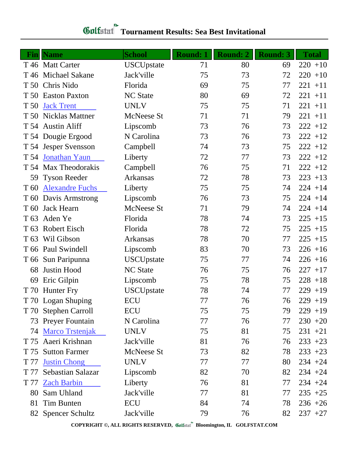## **Tournament Results: Sea Best Invitational**

| <b>Fin</b>      | <b>Name</b>            | <b>School</b>     | <b>Round: 1</b> | <b>Round: 2</b> | <b>Round: 3</b> | <b>Total</b> |
|-----------------|------------------------|-------------------|-----------------|-----------------|-----------------|--------------|
|                 | T 46 Matt Carter       | <b>USCUpstate</b> | 71              | 80              | 69              | $220 + 10$   |
|                 | T 46 Michael Sakane    | Jack'ville        | 75              | 73              | 72              | $220 + 10$   |
|                 | T 50 Chris Nido        | Florida           | 69              | 75              | 77              | $221 + 11$   |
|                 | T 50 Easton Paxton     | <b>NC</b> State   | 80              | 69              | 72              | $221 + 11$   |
| T 50            | <b>Jack Trent</b>      | <b>UNLV</b>       | 75              | 75              | 71              | $221 + 11$   |
|                 | T 50 Nicklas Mattner   | McNeese St        | 71              | 71              | 79              | $221 + 11$   |
|                 | T 54 Austin Aliff      | Lipscomb          | 73              | 76              | 73              | $222 + 12$   |
|                 | T 54 Dougie Ergood     | N Carolina        | 73              | 76              | 73              | $222 + 12$   |
|                 | T 54 Jesper Svensson   | Campbell          | 74              | 73              | 75              | $222 + 12$   |
|                 | T 54 Jonathan Yaun     | Liberty           | 72              | 77              | 73              | $222 + 12$   |
|                 | T 54 Max Theodorakis   | Campbell          | 76              | 75              | 71              | $222 + 12$   |
|                 | 59 Tyson Reeder        | <b>Arkansas</b>   | 72              | 78              | 73              | $223 + 13$   |
| T 60            | <b>Alexandre Fuchs</b> | Liberty           | 75              | 75              | 74              | $224 + 14$   |
| T 60            | Davis Armstrong        | Lipscomb          | 76              | 73              | 75              | $224 + 14$   |
| T 60            | <b>Jack Hearn</b>      | McNeese St        | 71              | 79              | 74              | $224 + 14$   |
| T <sub>63</sub> | Aden Ye                | Florida           | 78              | 74              | 73              | $225 + 15$   |
| T <sub>63</sub> | <b>Robert Eisch</b>    | Florida           | 78              | 72              | 75              | $225 + 15$   |
| T <sub>63</sub> | Wil Gibson             | Arkansas          | 78              | 70              | 77              | $225 + 15$   |
|                 | T 66 Paul Swindell     | Lipscomb          | 83              | 70              | 73              | $226 + 16$   |
|                 | T 66 Sun Paripunna     | <b>USCUpstate</b> | 75              | 77              | 74              | $226 + 16$   |
| 68              | <b>Justin Hood</b>     | <b>NC State</b>   | 76              | 75              | 76              | $227 + 17$   |
| 69              | Eric Gilpin            | Lipscomb          | 75              | 78              | 75              | $228 + 18$   |
| T 70            | <b>Hunter Fry</b>      | <b>USCUpstate</b> | 78              | 74              | 77              | $229 + 19$   |
|                 | T 70 Logan Shuping     | ECU               | 77              | 76              | 76              | $229 + 19$   |
|                 | T 70 Stephen Carroll   | <b>ECU</b>        | 75              | 75              | 79              | $229 + 19$   |
|                 | 73 Preyer Fountain     | N Carolina        | 77              | 76              | 77              | $230 + 20$   |
| 74              | <b>Marco Trstenjak</b> | <b>UNLV</b>       | 75              | 81              | 75              | $231 + 21$   |
| T 75            | Aaeri Krishnan         | Jack'ville        | 81              | 76              | 76              | $233 + 23$   |
| T 75            | <b>Sutton Farmer</b>   | McNeese St        | 73              | 82              | 78              | $233 + 23$   |
| T 77            | <b>Justin Chong</b>    | <b>UNLV</b>       | 77              | 77              | 80              | $234 + 24$   |
| T 77            | Sebastian Salazar      | Lipscomb          | 82              | 70              | 82              | $234 + 24$   |
| T 77            | <b>Zach Barbin</b>     | Liberty           | 76              | 81              | 77              | $234 + 24$   |
| 80              | Sam Uhland             | Jack'ville        | 77              | 81              | 77              | $235 + 25$   |
| 81              | Tim Bunten             | ECU               | 84              | 74              | 78              | $236 + 26$   |
|                 | 82 Spencer Schultz     | Jack'ville        | 79              | 76              | 82              | $237 +27$    |